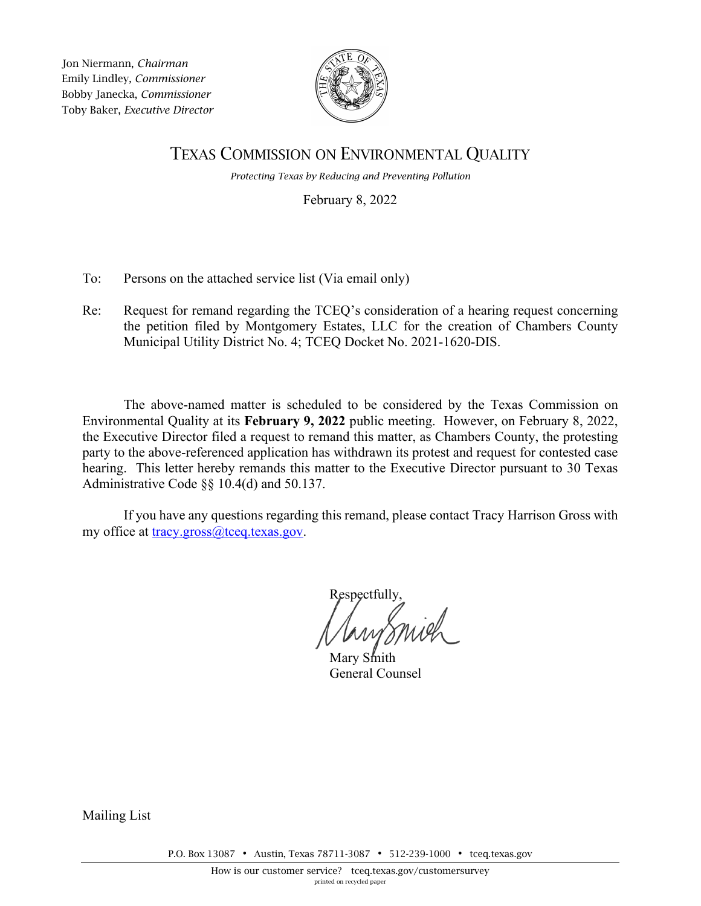Jon Niermann, *Chairman*  Emily Lindley*, Commissioner*  Bobby Janecka, *Commissioner*  Toby Baker, *Executive Director* 



TEXAS COMMISSION ON ENVIRONMENTAL QUALITY

*Protecting Texas by Reducing and Preventing Pollution* 

February 8, 2022

- To: Persons on the attached service list (Via email only)
- Re: Request for remand regarding the TCEQ's consideration of a hearing request concerning the petition filed by Montgomery Estates, LLC for the creation of Chambers County Municipal Utility District No. 4; TCEQ Docket No. 2021-1620-DIS.

 party to the above-referenced application has withdrawn its protest and request for contested case The above-named matter is scheduled to be considered by the Texas Commission on Environmental Quality at its **February 9, 2022** public meeting. However, on February 8, 2022, the Executive Director filed a request to remand this matter, as Chambers County, the protesting hearing. This letter hereby remands this matter to the Executive Director pursuant to 30 Texas Administrative Code §§ 10.4(d) and 50.137.

If you have any questions regarding this remand, please contact Tracy Harrison Gross with my office at [tracy.gross@tceq.texas.gov.](mailto:tracy.gross@tceq.texas.gov)

Respectfully,

Mary Smith General Counsel

Mailing List

P.O. Box 13087 • Austin, Texas 78711-3087 • 512-239-1000 • [tceq.texas.gov](http://www.tceq.state.tx.us/)